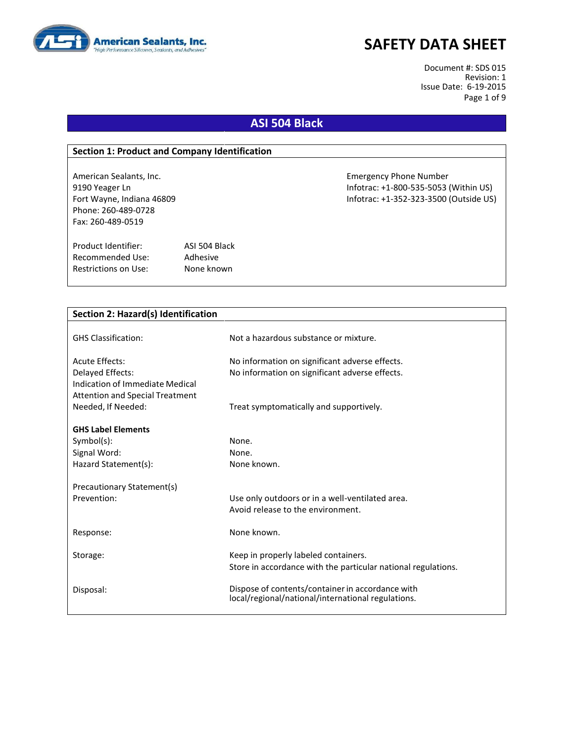

Document #: SDS 015 Revision: 1 Issue Date: 6-19-2015 Page 1 of 9

## **ASI 504 Black**

### **Section 1: Product and Company Identification**

Phone: 260-489-0728 Fax: 260-489-0519

Product Identifier: ASI 504 Black Recommended Use: Adhesive Restrictions on Use: None known

American Sealants, Inc. Emergency Phone Number 9190 Yeager Ln Infotrac: +1-800-535-5053 (Within US) Fort Wayne, Indiana 46809 Infotrac: +1-352-323-3500 (Outside US)

| Not a hazardous substance or mixture.                                                                  |
|--------------------------------------------------------------------------------------------------------|
|                                                                                                        |
| No information on significant adverse effects.                                                         |
| No information on significant adverse effects.                                                         |
|                                                                                                        |
|                                                                                                        |
| Treat symptomatically and supportively.                                                                |
|                                                                                                        |
|                                                                                                        |
| None.                                                                                                  |
| None.<br>None known.                                                                                   |
|                                                                                                        |
|                                                                                                        |
| Use only outdoors or in a well-ventilated area.                                                        |
| Avoid release to the environment.                                                                      |
|                                                                                                        |
| None known.                                                                                            |
|                                                                                                        |
| Keep in properly labeled containers.                                                                   |
| Store in accordance with the particular national regulations.                                          |
|                                                                                                        |
| Dispose of contents/container in accordance with<br>local/regional/national/international regulations. |
|                                                                                                        |
|                                                                                                        |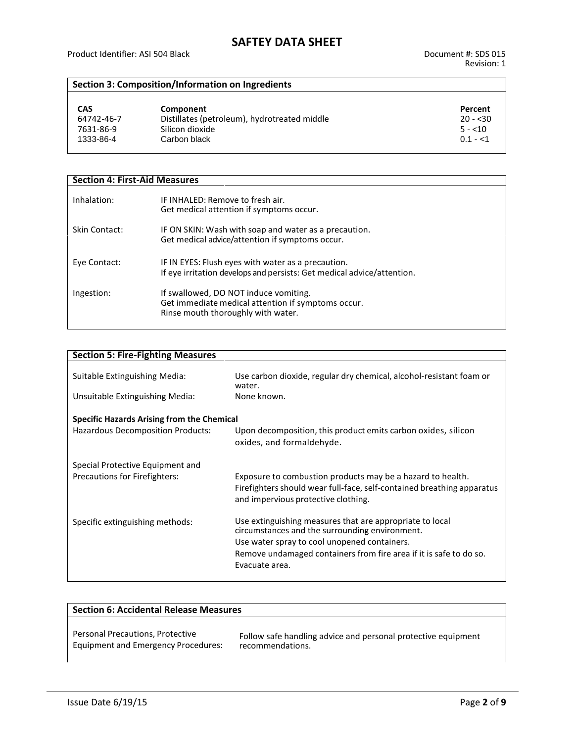## **Section 3: Composition/Information on Ingredients**

| <u>CAS</u> | Component                                    | Percent   |
|------------|----------------------------------------------|-----------|
| 64742-46-7 | Distillates (petroleum), hydrotreated middle | $20 - 30$ |
| 7631-86-9  | Silicon dioxide                              | $5 - 10$  |
| 1333-86-4  | Carbon black                                 | $0.1 - 1$ |

| <b>Section 4: First-Aid Measures</b> |                                                                                                                                   |
|--------------------------------------|-----------------------------------------------------------------------------------------------------------------------------------|
| Inhalation:                          | IF INHALED: Remove to fresh air.<br>Get medical attention if symptoms occur.                                                      |
| Skin Contact:                        | IF ON SKIN: Wash with soap and water as a precaution.<br>Get medical advice/attention if symptoms occur.                          |
| Eye Contact:                         | IF IN EYES: Flush eyes with water as a precaution.<br>If eye irritation develops and persists: Get medical advice/attention.      |
| Ingestion:                           | If swallowed, DO NOT induce vomiting.<br>Get immediate medical attention if symptoms occur.<br>Rinse mouth thoroughly with water. |

| <b>Section 5: Fire-Fighting Measures</b>   |                                                                                                                                                                             |  |  |
|--------------------------------------------|-----------------------------------------------------------------------------------------------------------------------------------------------------------------------------|--|--|
| Suitable Extinguishing Media:              | Use carbon dioxide, regular dry chemical, alcohol-resistant foam or<br>water.                                                                                               |  |  |
| Unsuitable Extinguishing Media:            | None known.                                                                                                                                                                 |  |  |
| Specific Hazards Arising from the Chemical |                                                                                                                                                                             |  |  |
| Hazardous Decomposition Products:          | Upon decomposition, this product emits carbon oxides, silicon<br>oxides, and formaldehyde.                                                                                  |  |  |
| Special Protective Equipment and           |                                                                                                                                                                             |  |  |
| Precautions for Firefighters:              | Exposure to combustion products may be a hazard to health.<br>Firefighters should wear full-face, self-contained breathing apparatus<br>and impervious protective clothing. |  |  |
| Specific extinguishing methods:            | Use extinguishing measures that are appropriate to local<br>circumstances and the surrounding environment.<br>Use water spray to cool unopened containers.                  |  |  |
|                                            | Remove undamaged containers from fire area if it is safe to do so.<br>Evacuate area.                                                                                        |  |  |
|                                            |                                                                                                                                                                             |  |  |

| <b>Section 6: Accidental Release Measures</b> |                                                               |  |
|-----------------------------------------------|---------------------------------------------------------------|--|
| Personal Precautions, Protective              | Follow safe handling advice and personal protective equipment |  |
| <b>Equipment and Emergency Procedures:</b>    | recommendations.                                              |  |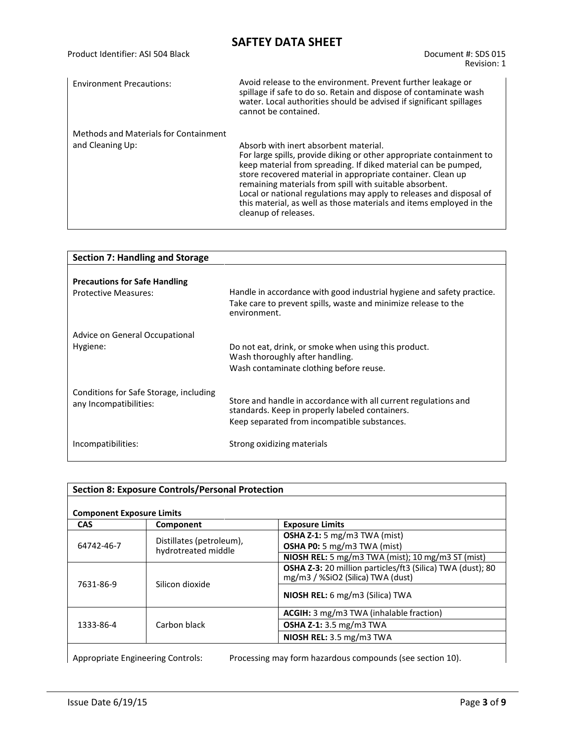| Product Identifier: ASI 504 Black     | Document #: SDS 015<br>Revision: 1                                                                                                                                                                                                                                                                                                                                                                                                                                              |
|---------------------------------------|---------------------------------------------------------------------------------------------------------------------------------------------------------------------------------------------------------------------------------------------------------------------------------------------------------------------------------------------------------------------------------------------------------------------------------------------------------------------------------|
| <b>Environment Precautions:</b>       | Avoid release to the environment. Prevent further leakage or<br>spillage if safe to do so. Retain and dispose of contaminate wash<br>water. Local authorities should be advised if significant spillages<br>cannot be contained.                                                                                                                                                                                                                                                |
| Methods and Materials for Containment |                                                                                                                                                                                                                                                                                                                                                                                                                                                                                 |
| and Cleaning Up:                      | Absorb with inert absorbent material.<br>For large spills, provide diking or other appropriate containment to<br>keep material from spreading. If diked material can be pumped,<br>store recovered material in appropriate container. Clean up<br>remaining materials from spill with suitable absorbent.<br>Local or national regulations may apply to releases and disposal of<br>this material, as well as those materials and items employed in the<br>cleanup of releases. |

| <b>Section 7: Handling and Storage</b>                              |                                                                                                                                                                    |
|---------------------------------------------------------------------|--------------------------------------------------------------------------------------------------------------------------------------------------------------------|
| <b>Precautions for Safe Handling</b><br><b>Protective Measures:</b> | Handle in accordance with good industrial hygiene and safety practice.<br>Take care to prevent spills, waste and minimize release to the<br>environment.           |
| Advice on General Occupational<br>Hygiene:                          | Do not eat, drink, or smoke when using this product.<br>Wash thoroughly after handling.<br>Wash contaminate clothing before reuse.                                 |
| Conditions for Safe Storage, including<br>any Incompatibilities:    | Store and handle in accordance with all current regulations and<br>standards. Keep in properly labeled containers.<br>Keep separated from incompatible substances. |
| Incompatibilities:                                                  | Strong oxidizing materials                                                                                                                                         |

| <b>Component Exposure Limits</b>                              |                 |                                                                   |
|---------------------------------------------------------------|-----------------|-------------------------------------------------------------------|
| <b>CAS</b>                                                    | Component       | <b>Exposure Limits</b>                                            |
|                                                               |                 | <b>OSHA Z-1:</b> 5 mg/m3 TWA (mist)                               |
| Distillates (petroleum),<br>64742-46-7<br>hydrotreated middle |                 | <b>OSHA P0:</b> 5 mg/m3 TWA (mist)                                |
|                                                               |                 | <b>NIOSH REL:</b> 5 mg/m3 TWA (mist); 10 mg/m3 ST (mist)          |
|                                                               |                 | <b>OSHA Z-3:</b> 20 million particles/ft3 (Silica) TWA (dust); 80 |
|                                                               |                 | mg/m3 / %SiO2 (Silica) TWA (dust)                                 |
| 7631-86-9                                                     | Silicon dioxide |                                                                   |
|                                                               |                 | <b>NIOSH REL:</b> 6 mg/m3 (Silica) TWA                            |
| Carbon black<br>1333-86-4                                     |                 | <b>ACGIH:</b> 3 mg/m3 TWA (inhalable fraction)                    |
|                                                               |                 | <b>OSHA Z-1:</b> 3.5 mg/m3 TWA                                    |
|                                                               |                 | NIOSH REL: 3.5 mg/m3 TWA                                          |

Appropriate Engineering Controls: Processing may form hazardous compounds (see section 10).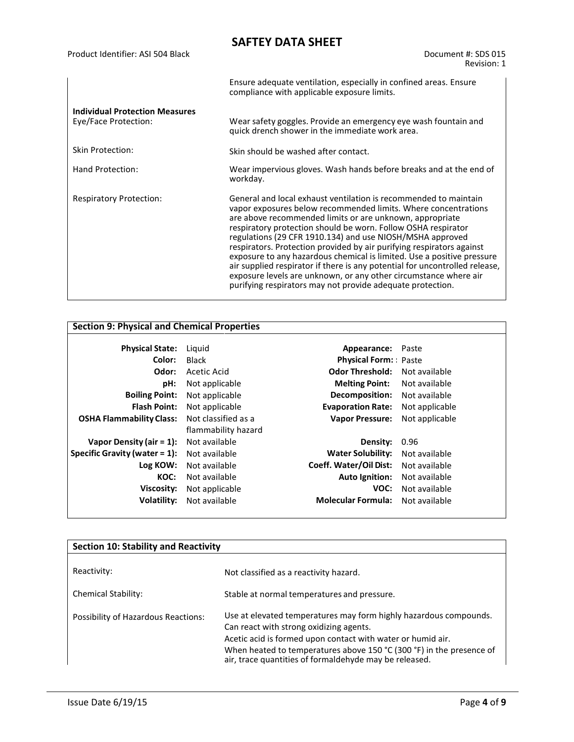|                                                               | Ensure adequate ventilation, especially in confined areas. Ensure<br>compliance with applicable exposure limits.                                                                                                                                                                                                                                                                                                                                                                                                                                                                                                                                                                                 |
|---------------------------------------------------------------|--------------------------------------------------------------------------------------------------------------------------------------------------------------------------------------------------------------------------------------------------------------------------------------------------------------------------------------------------------------------------------------------------------------------------------------------------------------------------------------------------------------------------------------------------------------------------------------------------------------------------------------------------------------------------------------------------|
| <b>Individual Protection Measures</b><br>Eye/Face Protection: | Wear safety goggles. Provide an emergency eye wash fountain and<br>quick drench shower in the immediate work area.                                                                                                                                                                                                                                                                                                                                                                                                                                                                                                                                                                               |
| Skin Protection:                                              | Skin should be washed after contact.                                                                                                                                                                                                                                                                                                                                                                                                                                                                                                                                                                                                                                                             |
| Hand Protection:                                              | Wear impervious gloves. Wash hands before breaks and at the end of<br>workday.                                                                                                                                                                                                                                                                                                                                                                                                                                                                                                                                                                                                                   |
| <b>Respiratory Protection:</b>                                | General and local exhaust ventilation is recommended to maintain<br>vapor exposures below recommended limits. Where concentrations<br>are above recommended limits or are unknown, appropriate<br>respiratory protection should be worn. Follow OSHA respirator<br>regulations (29 CFR 1910.134) and use NIOSH/MSHA approved<br>respirators. Protection provided by air purifying respirators against<br>exposure to any hazardous chemical is limited. Use a positive pressure<br>air supplied respirator if there is any potential for uncontrolled release,<br>exposure levels are unknown, or any other circumstance where air<br>purifying respirators may not provide adequate protection. |

## **Section 9: Physical and Chemical Properties**

| <b>Physical State:</b>           | Liguid              | Appearance:                 | Paste          |
|----------------------------------|---------------------|-----------------------------|----------------|
| Color:                           | <b>Black</b>        | <b>Physical Form:</b> Paste |                |
| Odor:                            | Acetic Acid         | <b>Odor Threshold:</b>      | Not available  |
| pH:                              | Not applicable      | <b>Melting Point:</b>       | Not available  |
| <b>Boiling Point:</b>            | Not applicable      | <b>Decomposition:</b>       | Not available  |
| <b>Flash Point:</b>              | Not applicable      | <b>Evaporation Rate:</b>    | Not applicable |
| <b>OSHA Flammability Class:</b>  | Not classified as a | <b>Vapor Pressure:</b>      | Not applicable |
|                                  | flammability hazard |                             |                |
| Vapor Density (air = $1$ ):      | Not available       | Density:                    | 0.96           |
| Specific Gravity (water $= 1$ ): | Not available       | <b>Water Solubility:</b>    | Not available  |
| Log KOW:                         | Not available       | Coeff. Water/Oil Dist:      | Not available  |
| KOC:                             | Not available       | <b>Auto Ignition:</b>       | Not available  |
| Viscosity:                       | Not applicable      | VOC:                        | Not available  |
| Volatility:                      | Not available       | <b>Molecular Formula:</b>   | Not available  |
|                                  |                     |                             |                |

| <b>Section 10: Stability and Reactivity</b> |                                                                                                                                                                                                                                                                                                               |  |
|---------------------------------------------|---------------------------------------------------------------------------------------------------------------------------------------------------------------------------------------------------------------------------------------------------------------------------------------------------------------|--|
| Reactivity:<br><b>Chemical Stability:</b>   | Not classified as a reactivity hazard.<br>Stable at normal temperatures and pressure.                                                                                                                                                                                                                         |  |
| Possibility of Hazardous Reactions:         | Use at elevated temperatures may form highly hazardous compounds.<br>Can react with strong oxidizing agents.<br>Acetic acid is formed upon contact with water or humid air.<br>When heated to temperatures above 150 °C (300 °F) in the presence of<br>air, trace quantities of formaldehyde may be released. |  |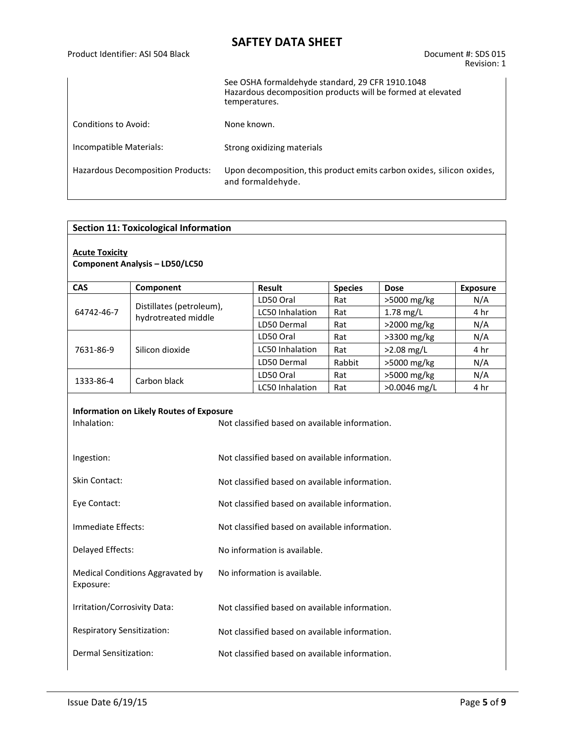Product Identifier: ASI 504 Black Document #: SDS 015

Revision: 1

|                                   | See OSHA formaldehyde standard, 29 CFR 1910.1048<br>Hazardous decomposition products will be formed at elevated<br>temperatures. |
|-----------------------------------|----------------------------------------------------------------------------------------------------------------------------------|
| Conditions to Avoid:              | None known.                                                                                                                      |
| Incompatible Materials:           | Strong oxidizing materials                                                                                                       |
| Hazardous Decomposition Products: | Upon decomposition, this product emits carbon oxides, silicon oxides,<br>and formaldehyde.                                       |

### **Section 11: Toxicological Information**

## **Acute Toxicity**

#### **Component Analysis – LD50/LC50**

| <b>CAS</b> | Component                                       | <b>Result</b><br><b>Species</b> |        | <b>Dose</b>    | <b>Exposure</b> |
|------------|-------------------------------------------------|---------------------------------|--------|----------------|-----------------|
| 64742-46-7 |                                                 | LD50 Oral                       | Rat    | >5000 mg/kg    | N/A             |
|            | Distillates (petroleum),<br>hydrotreated middle | LC50 Inhalation                 | Rat    | $1.78$ mg/L    |                 |
|            |                                                 | LD50 Dermal                     | Rat    | $>2000$ mg/kg  |                 |
| 7631-86-9  |                                                 | LD50 Oral                       | Rat    | >3300 mg/kg    | N/A             |
|            | Silicon dioxide                                 | <b>LC50 Inhalation</b>          | Rat    | $>2.08$ mg/L   | 4 hr            |
|            |                                                 | LD50 Dermal                     | Rabbit | >5000 mg/kg    | N/A             |
| 1333-86-4  | Carbon black                                    | LD50 Oral                       | Rat    | >5000 mg/kg    | N/A             |
|            |                                                 | <b>LC50</b> Inhalation          | Rat    | $>0.0046$ mg/L | 4 hr            |

# **Information on Likely Routes of Exposure**

| Inhalation:                                   | Not classified based on available information. |
|-----------------------------------------------|------------------------------------------------|
| Ingestion:                                    | Not classified based on available information. |
| <b>Skin Contact:</b>                          | Not classified based on available information. |
| Eye Contact:                                  | Not classified based on available information. |
| Immediate Effects:                            | Not classified based on available information. |
| Delayed Effects:                              | No information is available.                   |
| Medical Conditions Aggravated by<br>Exposure: | No information is available.                   |
| Irritation/Corrosivity Data:                  | Not classified based on available information. |
| Respiratory Sensitization:                    | Not classified based on available information. |
| Dermal Sensitization:                         | Not classified based on available information. |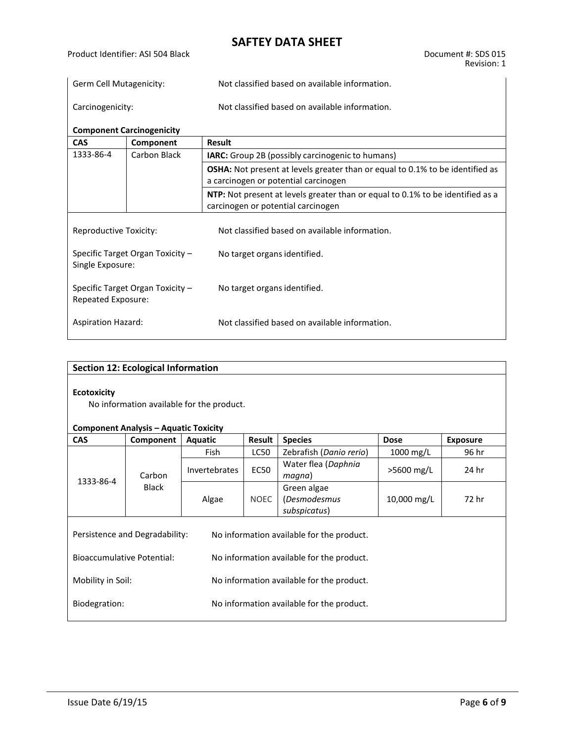| Germ Cell Mutagenicity: | Not classified based on available information. |
|-------------------------|------------------------------------------------|
| Carcinogenicity:        | Not classified based on available information. |

| <b>Component Carcinogenicity</b>                                               |                                      |                                                                                      |  |  |  |  |
|--------------------------------------------------------------------------------|--------------------------------------|--------------------------------------------------------------------------------------|--|--|--|--|
| <b>CAS</b>                                                                     | Component                            | <b>Result</b>                                                                        |  |  |  |  |
| 1333-86-4                                                                      | Carbon Black                         | <b>IARC:</b> Group 2B (possibly carcinogenic to humans)                              |  |  |  |  |
|                                                                                |                                      | <b>OSHA:</b> Not present at levels greater than or equal to 0.1% to be identified as |  |  |  |  |
|                                                                                | a carcinogen or potential carcinogen |                                                                                      |  |  |  |  |
| NTP: Not present at levels greater than or equal to 0.1% to be identified as a |                                      |                                                                                      |  |  |  |  |
|                                                                                |                                      | carcinogen or potential carcinogen                                                   |  |  |  |  |
| Reproductive Toxicity:                                                         |                                      | Not classified based on available information.                                       |  |  |  |  |
| Specific Target Organ Toxicity -<br>Single Exposure:                           |                                      | No target organs identified.                                                         |  |  |  |  |
| Specific Target Organ Toxicity -<br>Repeated Exposure:                         |                                      | No target organs identified.                                                         |  |  |  |  |
| <b>Aspiration Hazard:</b>                                                      |                                      | Not classified based on available information.                                       |  |  |  |  |

| <b>Section 12: Ecological Information</b>                                                                       |                                                                                           |                      |             |                                             |             |       |  |  |  |
|-----------------------------------------------------------------------------------------------------------------|-------------------------------------------------------------------------------------------|----------------------|-------------|---------------------------------------------|-------------|-------|--|--|--|
| <b>Ecotoxicity</b><br>No information available for the product.<br><b>Component Analysis – Aquatic Toxicity</b> |                                                                                           |                      |             |                                             |             |       |  |  |  |
| <b>CAS</b>                                                                                                      | Result<br><b>Species</b><br>Component<br><b>Exposure</b><br><b>Aquatic</b><br><b>Dose</b> |                      |             |                                             |             |       |  |  |  |
|                                                                                                                 |                                                                                           | <b>Fish</b>          | <b>LC50</b> | Zebrafish (Danio rerio)                     | $1000$ mg/L | 96 hr |  |  |  |
| 1333-86-4                                                                                                       | Carbon<br><b>Black</b>                                                                    | <b>Invertebrates</b> | <b>EC50</b> | Water flea (Daphnia<br>>5600 mg/L<br>magna) |             | 24 hr |  |  |  |
|                                                                                                                 |                                                                                           | <b>NOEC</b><br>Algae |             | Green algae<br>(Desmodesmus<br>subspicatus) | 10,000 mg/L | 72 hr |  |  |  |
| Persistence and Degradability:<br>No information available for the product.                                     |                                                                                           |                      |             |                                             |             |       |  |  |  |
| <b>Bioaccumulative Potential:</b><br>No information available for the product.                                  |                                                                                           |                      |             |                                             |             |       |  |  |  |
| Mobility in Soil:<br>No information available for the product.                                                  |                                                                                           |                      |             |                                             |             |       |  |  |  |
| Biodegration:<br>No information available for the product.                                                      |                                                                                           |                      |             |                                             |             |       |  |  |  |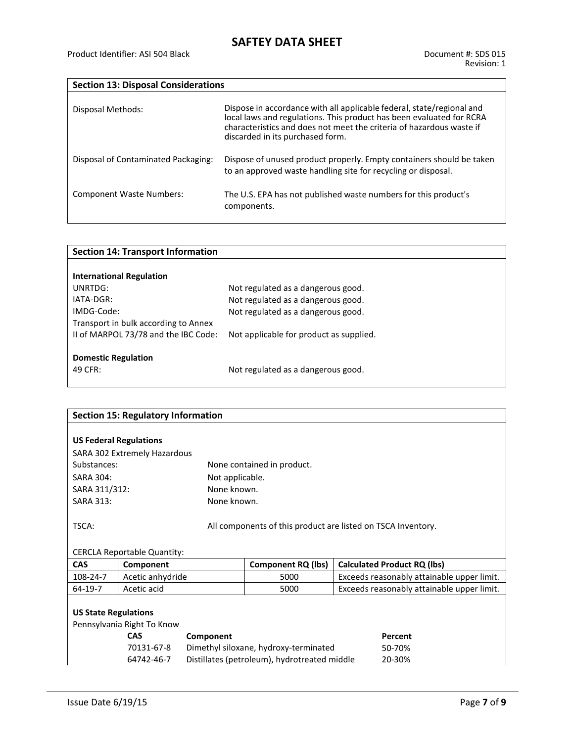| <b>Section 13: Disposal Considerations</b> |                                                                                                                                                                                                                                                           |  |  |  |  |  |
|--------------------------------------------|-----------------------------------------------------------------------------------------------------------------------------------------------------------------------------------------------------------------------------------------------------------|--|--|--|--|--|
| Disposal Methods:                          | Dispose in accordance with all applicable federal, state/regional and<br>local laws and regulations. This product has been evaluated for RCRA<br>characteristics and does not meet the criteria of hazardous waste if<br>discarded in its purchased form. |  |  |  |  |  |
| Disposal of Contaminated Packaging:        | Dispose of unused product properly. Empty containers should be taken<br>to an approved waste handling site for recycling or disposal.                                                                                                                     |  |  |  |  |  |
| <b>Component Waste Numbers:</b>            | The U.S. EPA has not published waste numbers for this product's<br>components.                                                                                                                                                                            |  |  |  |  |  |

| Not regulated as a dangerous good.      |
|-----------------------------------------|
| Not regulated as a dangerous good.      |
| Not regulated as a dangerous good.      |
|                                         |
| Not applicable for product as supplied. |
|                                         |
|                                         |
| Not regulated as a dangerous good.      |
|                                         |

| <b>Section 15: Regulatory Information</b> |                                                                      |                 |                                       |                                                              |  |  |  |  |
|-------------------------------------------|----------------------------------------------------------------------|-----------------|---------------------------------------|--------------------------------------------------------------|--|--|--|--|
|                                           |                                                                      |                 |                                       |                                                              |  |  |  |  |
| <b>US Federal Regulations</b>             |                                                                      |                 |                                       |                                                              |  |  |  |  |
|                                           | SARA 302 Extremely Hazardous                                         |                 |                                       |                                                              |  |  |  |  |
| Substances:                               |                                                                      |                 | None contained in product.            |                                                              |  |  |  |  |
| <b>SARA 304:</b>                          |                                                                      | Not applicable. |                                       |                                                              |  |  |  |  |
| SARA 311/312:                             |                                                                      | None known.     |                                       |                                                              |  |  |  |  |
| <b>SARA 313:</b>                          |                                                                      | None known.     |                                       |                                                              |  |  |  |  |
| TSCA:                                     |                                                                      |                 |                                       | All components of this product are listed on TSCA Inventory. |  |  |  |  |
|                                           |                                                                      |                 |                                       |                                                              |  |  |  |  |
|                                           | <b>CERCLA Reportable Quantity:</b>                                   |                 |                                       |                                                              |  |  |  |  |
| <b>CAS</b>                                |                                                                      |                 | <b>Component RQ (lbs)</b>             |                                                              |  |  |  |  |
|                                           | Component                                                            |                 |                                       | <b>Calculated Product RQ (lbs)</b>                           |  |  |  |  |
| 108-24-7                                  | Acetic anhydride                                                     |                 | 5000                                  | Exceeds reasonably attainable upper limit.                   |  |  |  |  |
| 64-19-7                                   | Acetic acid                                                          |                 | 5000                                  | Exceeds reasonably attainable upper limit.                   |  |  |  |  |
|                                           |                                                                      |                 |                                       |                                                              |  |  |  |  |
| <b>US State Regulations</b>               |                                                                      |                 |                                       |                                                              |  |  |  |  |
| Pennsylvania Right To Know                |                                                                      |                 |                                       |                                                              |  |  |  |  |
|                                           | <b>CAS</b>                                                           | Component       |                                       | Percent                                                      |  |  |  |  |
|                                           | 70131-67-8                                                           |                 | Dimethyl siloxane, hydroxy-terminated | 50-70%                                                       |  |  |  |  |
|                                           | Distillates (petroleum), hydrotreated middle<br>64742-46-7<br>20-30% |                 |                                       |                                                              |  |  |  |  |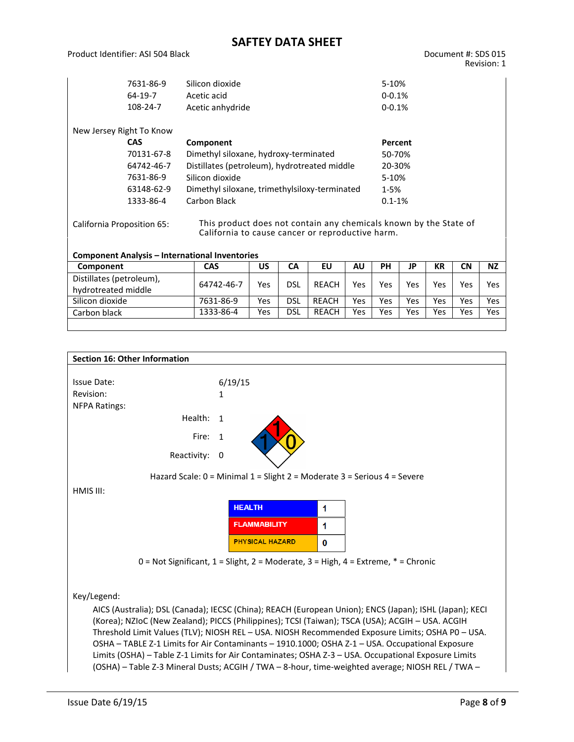Product Identifier: ASI 504 Black Document #: SDS 015

|                                                                                                                                                     | 7631-86-9<br>64-19-7<br>108-24-7 | Silicon dioxide<br>Acetic acid<br>Acetic anhydride |     |            |              |            |           | 5-10%<br>$0 - 0.1%$<br>$0 - 0.1%$ |            |           |           |  |  |
|-----------------------------------------------------------------------------------------------------------------------------------------------------|----------------------------------|----------------------------------------------------|-----|------------|--------------|------------|-----------|-----------------------------------|------------|-----------|-----------|--|--|
| New Jersey Right To Know                                                                                                                            |                                  |                                                    |     |            |              |            |           |                                   |            |           |           |  |  |
|                                                                                                                                                     | <b>CAS</b>                       | Component                                          |     |            |              |            |           | Percent                           |            |           |           |  |  |
|                                                                                                                                                     | 70131-67-8                       | Dimethyl siloxane, hydroxy-terminated              |     |            |              |            | 50-70%    |                                   |            |           |           |  |  |
|                                                                                                                                                     | 64742-46-7                       | Distillates (petroleum), hydrotreated middle       |     |            |              |            | 20-30%    |                                   |            |           |           |  |  |
|                                                                                                                                                     | 7631-86-9                        | Silicon dioxide                                    |     |            |              |            |           | 5-10%                             |            |           |           |  |  |
|                                                                                                                                                     | 63148-62-9                       | Dimethyl siloxane, trimethylsiloxy-terminated      |     |            |              |            |           | $1 - 5%$                          |            |           |           |  |  |
|                                                                                                                                                     | 1333-86-4                        | Carbon Black                                       |     |            |              |            |           | $0.1 - 1%$                        |            |           |           |  |  |
| This product does not contain any chemicals known by the State of<br>California Proposition 65:<br>California to cause cancer or reproductive harm. |                                  |                                                    |     |            |              |            |           |                                   |            |           |           |  |  |
| <b>Component Analysis - International Inventories</b>                                                                                               |                                  |                                                    |     |            |              |            |           |                                   |            |           |           |  |  |
| Component                                                                                                                                           |                                  | EU<br><b>CAS</b><br>CA<br><b>AU</b><br>US          |     |            |              |            | <b>PH</b> | JP                                | <b>KR</b>  | <b>CN</b> | <b>NZ</b> |  |  |
| Distillates (petroleum),                                                                                                                            |                                  | 64742-46-7                                         | Yes | <b>DSL</b> | <b>REACH</b> | <b>Yes</b> | Yes       | Yes                               | <b>Yes</b> | Yes       | Yes       |  |  |
| hydrotreated middle                                                                                                                                 |                                  |                                                    |     |            |              |            |           |                                   |            |           |           |  |  |
| Silicon dioxide                                                                                                                                     |                                  | 7631-86-9                                          | Yes | <b>DSL</b> | <b>REACH</b> | Yes        | Yes       | Yes                               | Yes        | Yes       | Yes       |  |  |
| Carbon black                                                                                                                                        |                                  | 1333-86-4                                          | Yes | <b>DSL</b> | <b>REACH</b> | <b>Yes</b> | Yes       | Yes                               | Yes        | Yes       | Yes       |  |  |